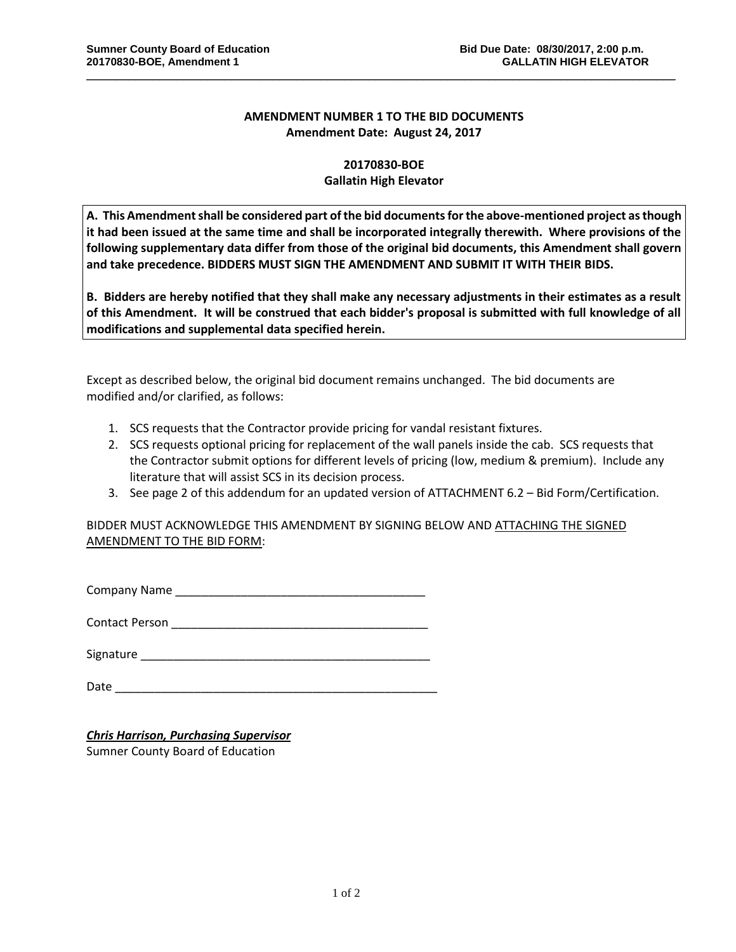## **AMENDMENT NUMBER 1 TO THE BID DOCUMENTS Amendment Date: August 24, 2017**

\_\_\_\_\_\_\_\_\_\_\_\_\_\_\_\_\_\_\_\_\_\_\_\_\_\_\_\_\_\_\_\_\_\_\_\_\_\_\_\_\_\_\_\_\_\_\_\_\_\_\_\_\_\_\_\_\_\_\_\_\_\_\_\_\_\_\_\_\_\_\_\_\_\_\_\_\_\_\_\_\_\_\_\_\_\_\_\_\_\_\_\_\_\_\_\_\_\_

## **20170830-BOE Gallatin High Elevator**

**A. This Amendment shall be considered part of the bid documents for the above-mentioned project as though it had been issued at the same time and shall be incorporated integrally therewith. Where provisions of the following supplementary data differ from those of the original bid documents, this Amendment shall govern and take precedence. BIDDERS MUST SIGN THE AMENDMENT AND SUBMIT IT WITH THEIR BIDS.**

**B. Bidders are hereby notified that they shall make any necessary adjustments in their estimates as a result of this Amendment. It will be construed that each bidder's proposal is submitted with full knowledge of all modifications and supplemental data specified herein.**

Except as described below, the original bid document remains unchanged. The bid documents are modified and/or clarified, as follows:

- 1. SCS requests that the Contractor provide pricing for vandal resistant fixtures.
- 2. SCS requests optional pricing for replacement of the wall panels inside the cab. SCS requests that the Contractor submit options for different levels of pricing (low, medium & premium). Include any literature that will assist SCS in its decision process.
- 3. See page 2 of this addendum for an updated version of ATTACHMENT 6.2 Bid Form/Certification.

BIDDER MUST ACKNOWLEDGE THIS AMENDMENT BY SIGNING BELOW AND ATTACHING THE SIGNED AMENDMENT TO THE BID FORM:

Company Name \_\_\_\_\_\_\_\_\_\_\_\_\_\_\_\_\_\_\_\_\_\_\_\_\_\_\_\_\_\_\_\_\_\_\_\_\_\_

Contact Person **Exercise 2018** 

Signature \_\_\_\_\_\_\_\_\_\_\_\_\_\_\_\_\_\_\_\_\_\_\_\_\_\_\_\_\_\_\_\_\_\_\_\_\_\_\_\_\_\_\_\_

Date \_\_\_\_\_\_\_\_\_\_\_\_\_\_\_\_\_\_\_\_\_\_\_\_\_\_\_\_\_\_\_\_\_\_\_\_\_\_\_\_\_\_\_\_\_\_\_\_\_

## *Chris Harrison, Purchasing Supervisor*

Sumner County Board of Education